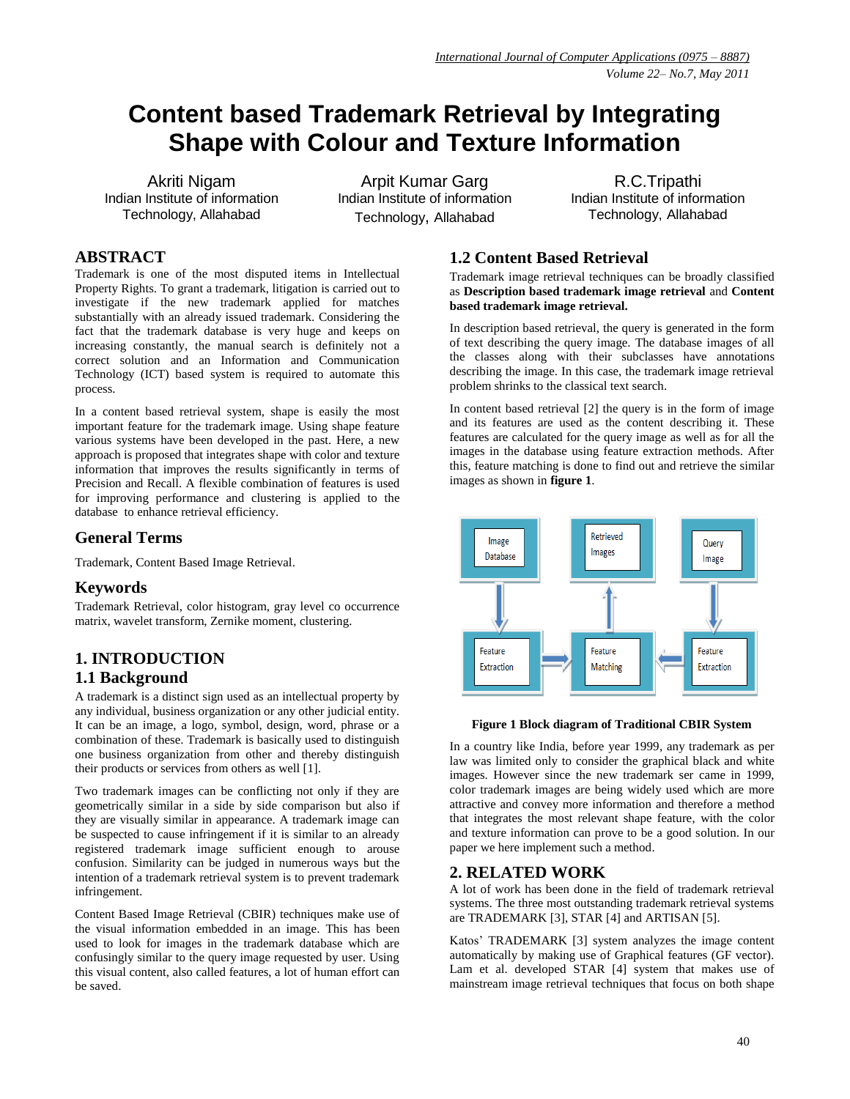# **Content based Trademark Retrieval by Integrating Shape with Colour and Texture Information**

Akriti Nigam Indian Institute of information Technology, Allahabad

Arpit Kumar Garg Indian Institute of information Technology, Allahabad

R.C.Tripathi Indian Institute of information Technology, Allahabad

### **ABSTRACT**

Trademark is one of the most disputed items in Intellectual Property Rights. To grant a trademark, litigation is carried out to investigate if the new trademark applied for matches substantially with an already issued trademark. Considering the fact that the trademark database is very huge and keeps on increasing constantly, the manual search is definitely not a correct solution and an Information and Communication Technology (ICT) based system is required to automate this process.

In a content based retrieval system, shape is easily the most important feature for the trademark image. Using shape feature various systems have been developed in the past. Here, a new approach is proposed that integrates shape with color and texture information that improves the results significantly in terms of Precision and Recall. A flexible combination of features is used for improving performance and clustering is applied to the database to enhance retrieval efficiency.

# **General Terms**

Trademark, Content Based Image Retrieval.

### **Keywords**

Trademark Retrieval, color histogram, gray level co occurrence matrix, wavelet transform, Zernike moment, clustering.

# **1. INTRODUCTION 1.1 Background**

A trademark is a distinct sign used as an intellectual property by any individual, business organization or any other judicial entity. It can be an image, a logo, symbol, design, word, phrase or a combination of these. Trademark is basically used to distinguish one business organization from other and thereby distinguish their products or services from others as well [1].

Two trademark images can be conflicting not only if they are geometrically similar in a side by side comparison but also if they are visually similar in appearance. A trademark image can be suspected to cause infringement if it is similar to an already registered trademark image sufficient enough to arouse confusion. Similarity can be judged in numerous ways but the intention of a trademark retrieval system is to prevent trademark infringement.

Content Based Image Retrieval (CBIR) techniques make use of the visual information embedded in an image. This has been used to look for images in the trademark database which are confusingly similar to the query image requested by user. Using this visual content, also called features, a lot of human effort can be saved.

# **1.2 Content Based Retrieval**

Trademark image retrieval techniques can be broadly classified as **Description based trademark image retrieval** and **Content based trademark image retrieval.** 

In description based retrieval, the query is generated in the form of text describing the query image. The database images of all the classes along with their subclasses have annotations describing the image. In this case, the trademark image retrieval problem shrinks to the classical text search.

In content based retrieval [2] the query is in the form of image and its features are used as the content describing it. These features are calculated for the query image as well as for all the images in the database using feature extraction methods. After this, feature matching is done to find out and retrieve the similar images as shown in **figure 1**.



#### **Figure 1 Block diagram of Traditional CBIR System**

In a country like India, before year 1999, any trademark as per law was limited only to consider the graphical black and white images. However since the new trademark ser came in 1999, color trademark images are being widely used which are more attractive and convey more information and therefore a method that integrates the most relevant shape feature, with the color and texture information can prove to be a good solution. In our paper we here implement such a method.

### **2. RELATED WORK**

A lot of work has been done in the field of trademark retrieval systems. The three most outstanding trademark retrieval systems are TRADEMARK [3], STAR [4] and ARTISAN [5].

Katos' TRADEMARK [3] system analyzes the image content automatically by making use of Graphical features (GF vector). Lam et al. developed STAR [4] system that makes use of mainstream image retrieval techniques that focus on both shape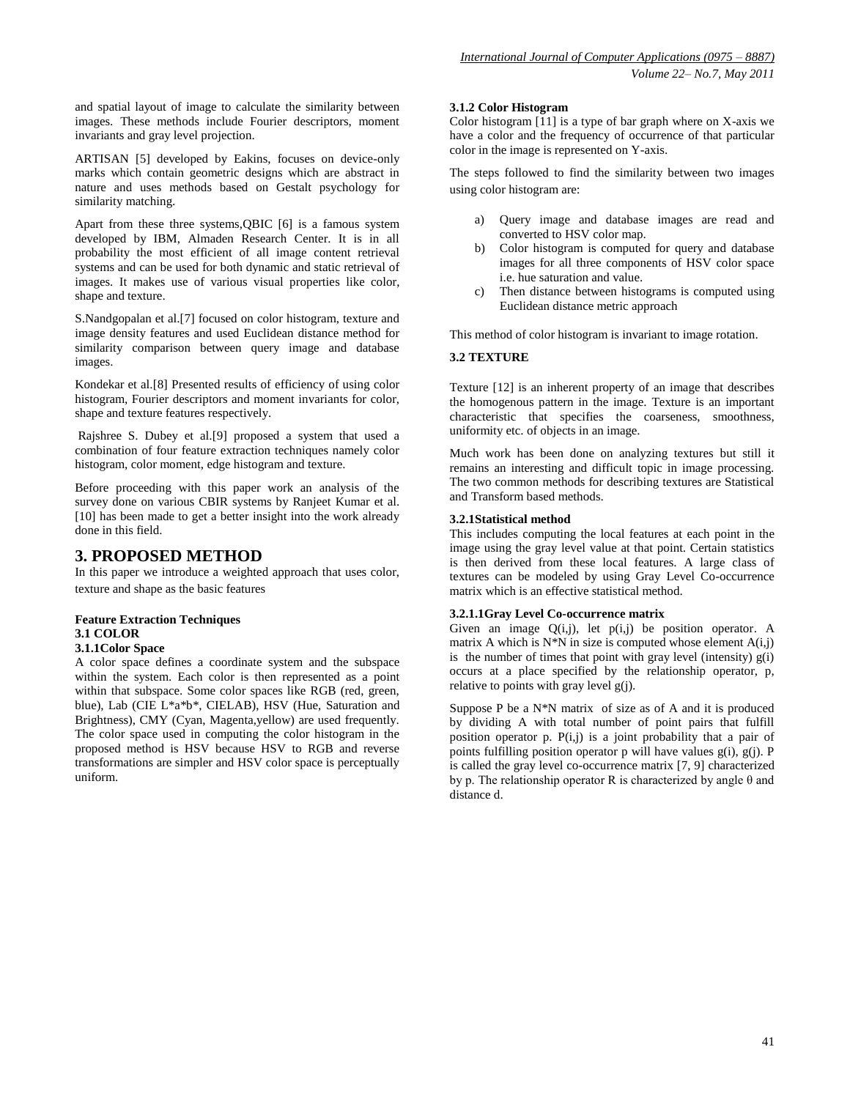and spatial layout of image to calculate the similarity between images. These methods include Fourier descriptors, moment invariants and gray level projection.

ARTISAN [5] developed by Eakins, focuses on device-only marks which contain geometric designs which are abstract in nature and uses methods based on Gestalt psychology for similarity matching.

Apart from these three systems,QBIC [6] is a famous system developed by IBM, Almaden Research Center. It is in all probability the most efficient of all image content retrieval systems and can be used for both dynamic and static retrieval of images. It makes use of various visual properties like color, shape and texture.

S.Nandgopalan et al.[7] focused on color histogram, texture and image density features and used Euclidean distance method for similarity comparison between query image and database images.

Kondekar et al.[8] Presented results of efficiency of using color histogram, Fourier descriptors and moment invariants for color, shape and texture features respectively.

Rajshree S. Dubey et al.[9] proposed a system that used a combination of four feature extraction techniques namely color histogram, color moment, edge histogram and texture.

Before proceeding with this paper work an analysis of the survey done on various CBIR systems by Ranjeet Kumar et al. [10] has been made to get a better insight into the work already done in this field.

### **3. PROPOSED METHOD**

In this paper we introduce a weighted approach that uses color, texture and shape as the basic features

### **Feature Extraction Techniques 3.1 COLOR**

#### **3.1.1Color Space**

A color space defines a coordinate system and the subspace within the system. Each color is then represented as a point within that subspace. Some color spaces like RGB (red, green, blue), Lab (CIE L\*a\*b\*, CIELAB), HSV (Hue, Saturation and Brightness), CMY (Cyan, Magenta,yellow) are used frequently. The color space used in computing the color histogram in the proposed method is HSV because HSV to RGB and reverse transformations are simpler and HSV color space is perceptually uniform.

#### **3.1.2 Color Histogram**

Color histogram  $\begin{bmatrix} 11 \end{bmatrix}$  is a type of bar graph where on X-axis we have a color and the frequency of occurrence of that particular color in the image is represented on Y-axis.

The steps followed to find the similarity between two images using color histogram are:

- a) Query image and database images are read and converted to HSV color map.
- b) Color histogram is computed for query and database images for all three components of HSV color space i.e. hue saturation and value.
- c) Then distance between histograms is computed using Euclidean distance metric approach

This method of color histogram is invariant to image rotation.

#### **3.2 TEXTURE**

Texture [12] is an inherent property of an image that describes the homogenous pattern in the image. Texture is an important characteristic that specifies the coarseness, smoothness, uniformity etc. of objects in an image.

Much work has been done on analyzing textures but still it remains an interesting and difficult topic in image processing. The two common methods for describing textures are Statistical and Transform based methods.

#### **3.2.1Statistical method**

This includes computing the local features at each point in the image using the gray level value at that point. Certain statistics is then derived from these local features. A large class of textures can be modeled by using Gray Level Co-occurrence matrix which is an effective statistical method.

#### **3.2.1.1Gray Level Co-occurrence matrix**

Given an image  $Q(i,j)$ , let  $p(i,j)$  be position operator. A matrix A which is  $N^*N$  in size is computed whose element  $A(i,j)$ is the number of times that point with gray level (intensity)  $g(i)$ occurs at a place specified by the relationship operator, p, relative to points with gray level  $g(i)$ .

Suppose P be a N\*N matrix of size as of A and it is produced by dividing A with total number of point pairs that fulfill position operator p.  $P(i,j)$  is a joint probability that a pair of points fulfilling position operator p will have values  $g(i)$ ,  $g(j)$ . P is called the gray level co-occurrence matrix [7, 9] characterized by p. The relationship operator R is characterized by angle  $\theta$  and distance d.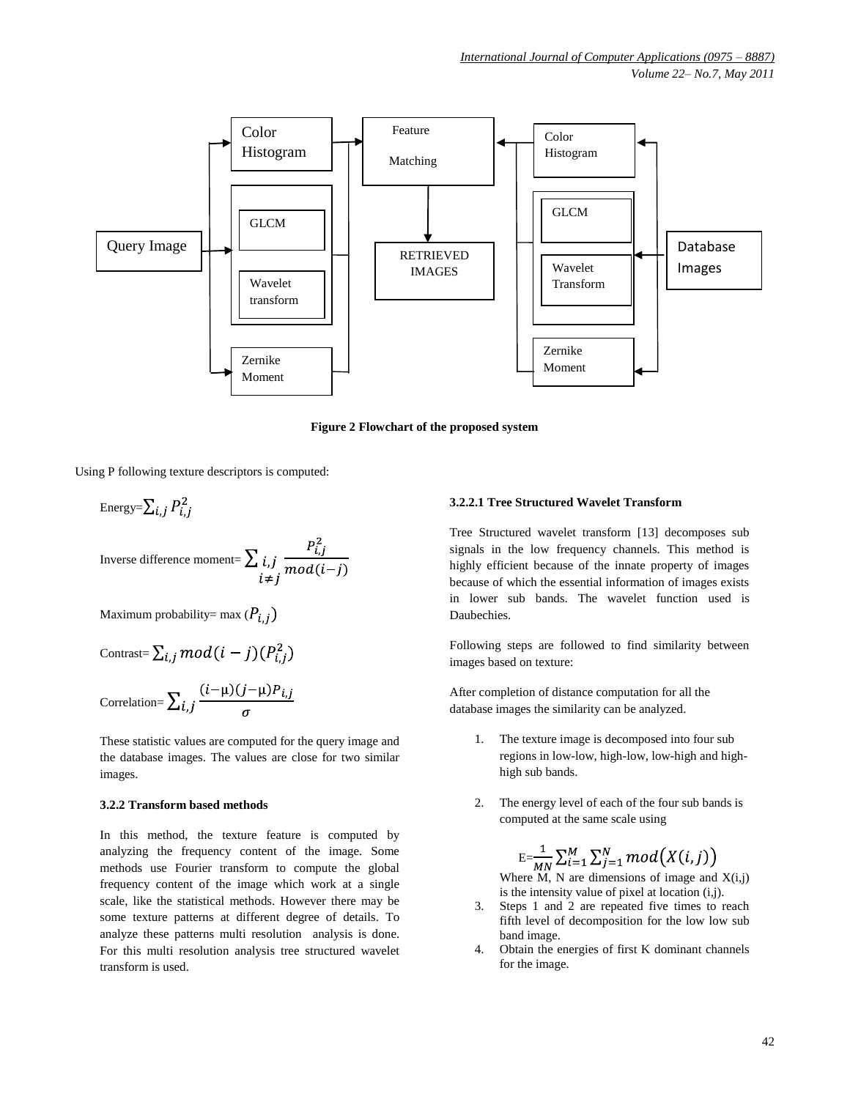

**Figure 2 Flowchart of the proposed system**

Using P following texture descriptors is computed:

Energy=
$$
\sum_{i,j} P_{i,j}^2
$$
  
Inverse difference moment= $\sum_{i,j} i,j \frac{P_{i,j}^2}{mod(i-j)}$ 

Maximum probability= max  $(P_{i,j})$ 

$$
Contrast = \sum_{i,j} mod(i-j)(P_{i,j}^2)
$$

Correlation=
$$
\sum_{i,j} \frac{(i-\mu)(j-\mu)P_{i,j}}{\sigma}
$$

These statistic values are computed for the query image and the database images. The values are close for two similar images.

#### **3.2.2 Transform based methods**

In this method, the texture feature is computed by analyzing the frequency content of the image. Some methods use Fourier transform to compute the global frequency content of the image which work at a single scale, like the statistical methods. However there may be some texture patterns at different degree of details. To analyze these patterns multi resolution analysis is done. For this multi resolution analysis tree structured wavelet transform is used.

#### **3.2.2.1 Tree Structured Wavelet Transform**

Tree Structured wavelet transform [13] decomposes sub signals in the low frequency channels. This method is highly efficient because of the innate property of images because of which the essential information of images exists in lower sub bands. The wavelet function used is Daubechies.

Following steps are followed to find similarity between images based on texture:

After completion of distance computation for all the database images the similarity can be analyzed.

- 1. The texture image is decomposed into four sub regions in low-low, high-low, low-high and highhigh sub bands.
- 2. The energy level of each of the four sub bands is computed at the same scale using

 $\mathrm{E}=\frac{1}{MN}\sum_{i=1}^{M}\sum_{j=1}^{N} mod\big(X(i,j)\big)$ Where  $\overrightarrow{M}$ , N are dimensions of image and  $X(i,j)$ 

is the intensity value of pixel at location  $(i,j)$ .

- 3. Steps 1 and 2 are repeated five times to reach fifth level of decomposition for the low low sub band image.
- 4. Obtain the energies of first K dominant channels for the image.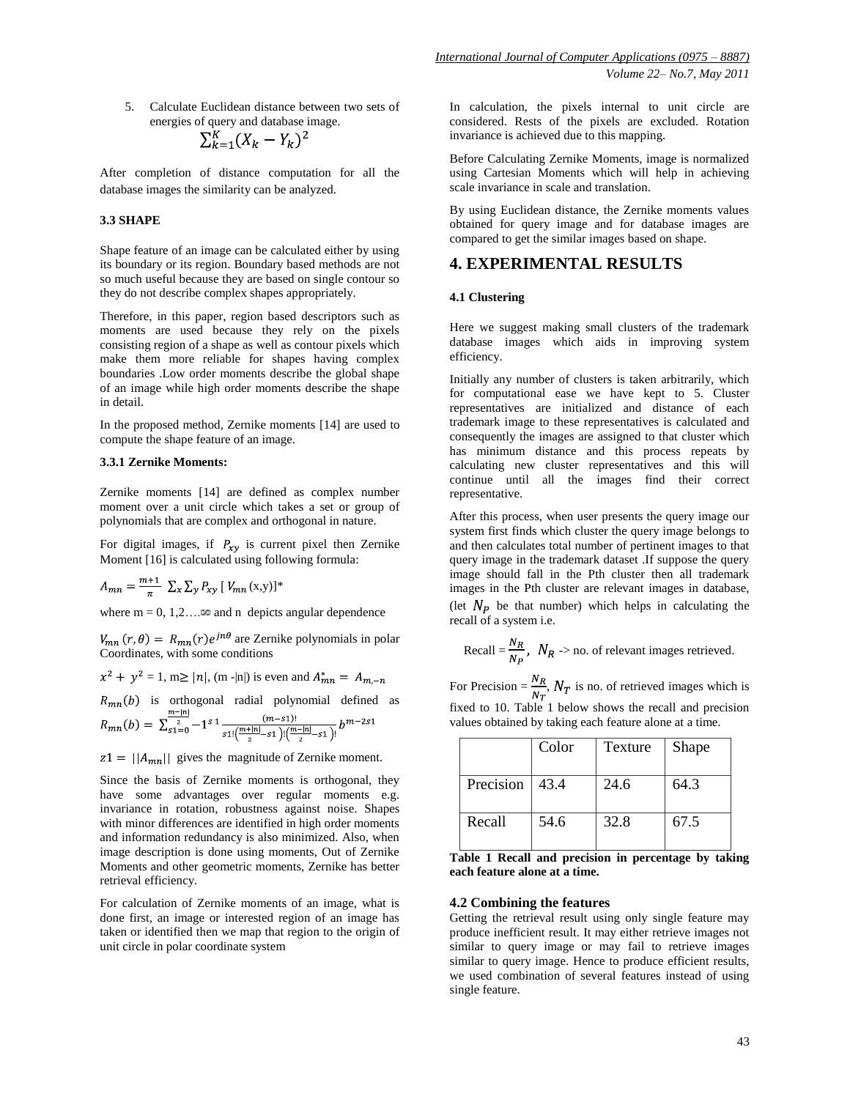5. Calculate Euclidean distance between two sets of energies of query and database image.

$$
\sum_{k=1}^K (X_k - Y_k)^2
$$

After completion of distance computation for all the database images the similarity can be analyzed.

#### **3.3 SHAPE**

Shape feature of an image can be calculated either by using its boundary or its region. Boundary based methods are not so much useful because they are based on single contour so they do not describe complex shapes appropriately.

Therefore, in this paper, region based descriptors such as moments are used because they rely on the pixels consisting region of a shape as well as contour pixels which make them more reliable for shapes having complex boundaries .Low order moments describe the global shape of an image while high order moments describe the shape in detail.

In the proposed method, Zernike moments [14] are used to compute the shape feature of an image.

#### **3.3.1 Zernike Moments:**

Zernike moments [14] are defined as complex number moment over a unit circle which takes a set or group of polynomials that are complex and orthogonal in nature.

For digital images, if  $P_{xy}$  is current pixel then Zernike Moment [16] is calculated using following formula:

$$
A_{mn} = \frac{m+1}{\pi} \sum_{x} \sum_{y} P_{xy} [V_{mn}(x,y)]^*
$$

where  $m = 0, 1, 2, \ldots$  and n depicts angular dependence

 $V_{mn}(r,\theta) = R_{mn}(r)e^{jn\theta}$  are Zernike polynomials in polar Coordinates, with some conditions

 $x^{2} + y^{2} = 1$ , m  $\geq |n|$ , (m -|n|) is even and  $A_{mn}^{*} = A_{m,-n}$ 

 $R_{mn}(b)$  is orthogonal radial polynomial defined as

$$
R_{mn}(b) = \sum_{s=1}^{\infty} \frac{(-1)^s 1}{s! \left(\frac{m+|n|}{2} - s! \right) \left(\frac{m-|n|}{2} - s! \right)!} b^{m-2s}
$$

 $z1 = ||A_{mn}||$  gives the magnitude of Zernike moment.

Since the basis of Zernike moments is orthogonal, they have some advantages over regular moments e.g. invariance in rotation, robustness against noise. Shapes with minor differences are identified in high order moments and information redundancy is also minimized. Also, when image description is done using moments, Out of Zernike Moments and other geometric moments, Zernike has better retrieval efficiency.

For calculation of Zernike moments of an image, what is done first, an image or interested region of an image has taken or identified then we map that region to the origin of unit circle in polar coordinate system

In calculation, the pixels internal to unit circle are considered. Rests of the pixels are excluded. Rotation invariance is achieved due to this mapping.

Before Calculating Zernike Moments, image is normalized using Cartesian Moments which will help in achieving scale invariance in scale and translation.

By using Euclidean distance, the Zernike moments values obtained for query image and for database images are compared to get the similar images based on shape.

# **4. EXPERIMENTAL RESULTS**

#### **4.1 Clustering**

Here we suggest making small clusters of the trademark database images which aids in improving system efficiency.

Initially any number of clusters is taken arbitrarily, which for computational ease we have kept to 5. Cluster representatives are initialized and distance of each trademark image to these representatives is calculated and consequently the images are assigned to that cluster which has minimum distance and this process repeats by calculating new cluster representatives and this will continue until all the images find their correct representative.

After this process, when user presents the query image our system first finds which cluster the query image belongs to and then calculates total number of pertinent images to that query image in the trademark dataset .If suppose the query image should fall in the Pth cluster then all trademark images in the Pth cluster are relevant images in database, (let  $N_P$  be that number) which helps in calculating the recall of a system i.e.

Recall = 
$$
\frac{N_R}{N_P}
$$
,  $N_R$  > no. of relevant images retrieved.

For Precision =  $\frac{N_R}{N_T}$ ,  $N_T$  is no. of retrieved images which is fixed to 10. Table 1 below shows the recall and precision values obtained by taking each feature alone at a time.

|           | Color | Texture | Shape |
|-----------|-------|---------|-------|
| Precision | 43.4  | 24.6    | 64.3  |
| Recall    | 54.6  | 32.8    | 67.5  |

**Table 1 Recall and precision in percentage by taking each feature alone at a time.**

#### **4.2 Combining the features**

Getting the retrieval result using only single feature may produce inefficient result. It may either retrieve images not similar to query image or may fail to retrieve images similar to query image. Hence to produce efficient results, we used combination of several features instead of using single feature.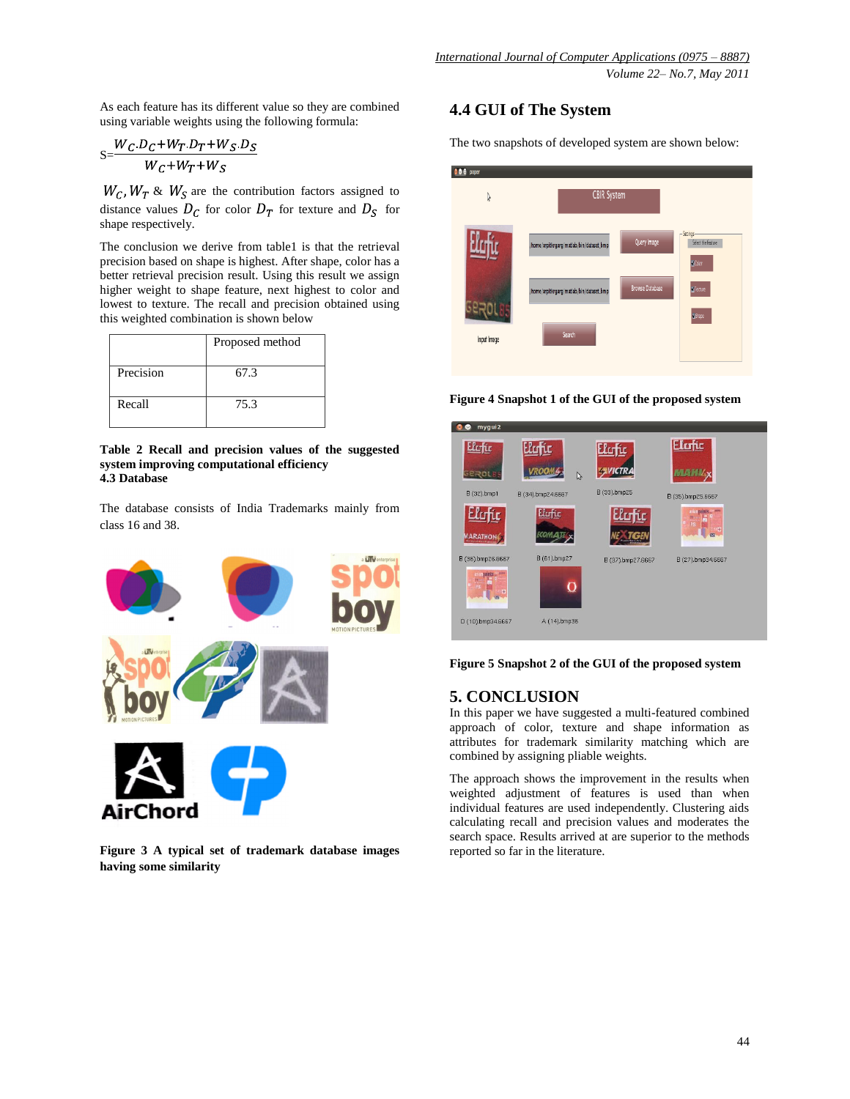As each feature has its different value so they are combined using variable weights using the following formula:

$$
S = \frac{W_C.D_C + W_T.D_T + W_S.D_S}{W_C + W_T + W_S}
$$

 $W_c$ ,  $W_T$  &  $W_S$  are the contribution factors assigned to distance values  $D_C$  for color  $D_T$  for texture and  $D_S$  for shape respectively.

The conclusion we derive from table1 is that the retrieval precision based on shape is highest. After shape, color has a better retrieval precision result. Using this result we assign higher weight to shape feature, next highest to color and lowest to texture. The recall and precision obtained using this weighted combination is shown below

|           | Proposed method |  |
|-----------|-----------------|--|
| Precision | 67.3            |  |
| Recall    | 75.3            |  |

**Table 2 Recall and precision values of the suggested system improving computational efficiency 4.3 Database**

The database consists of India Trademarks mainly from class 16 and 38.



**Figure 3 A typical set of trademark database images having some similarity**

# **4.4 GUI of The System**

The two snapshots of developed system are shown below:



**Figure 4 Snapshot 1 of the GUI of the proposed system**



**Figure 5 Snapshot 2 of the GUI of the proposed system**

# **5. CONCLUSION**

In this paper we have suggested a multi-featured combined approach of color, texture and shape information as attributes for trademark similarity matching which are combined by assigning pliable weights.

The approach shows the improvement in the results when weighted adjustment of features is used than when individual features are used independently. Clustering aids calculating recall and precision values and moderates the search space. Results arrived at are superior to the methods reported so far in the literature.